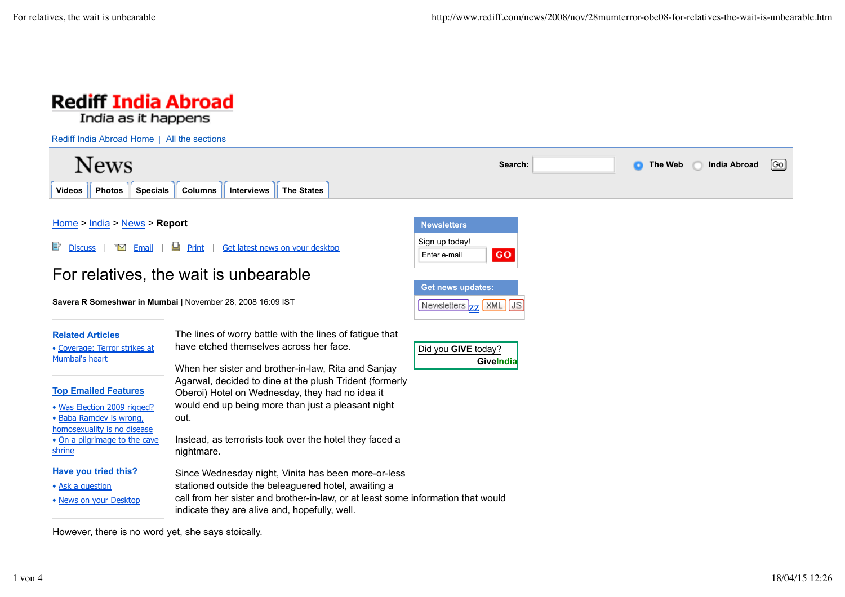